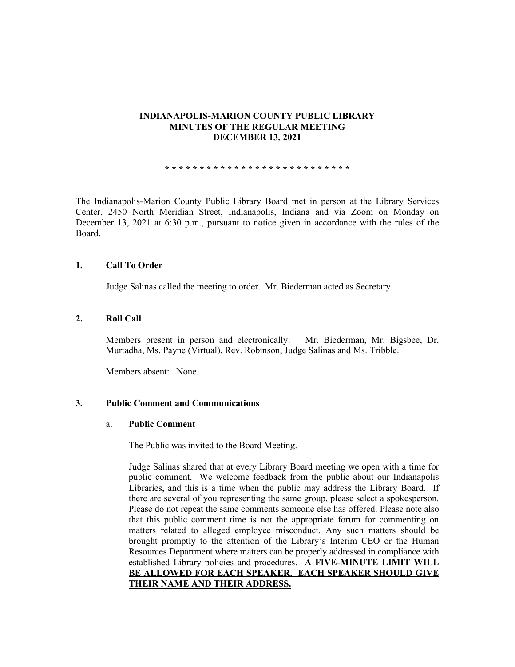### **INDIANAPOLIS-MARION COUNTY PUBLIC LIBRARY MINUTES OF THE REGULAR MEETING DECEMBER 13, 2021**

**\* \* \* \* \* \* \* \* \* \* \* \* \* \* \* \* \* \* \* \* \* \* \* \* \* \* \***

The Indianapolis-Marion County Public Library Board met in person at the Library Services Center, 2450 North Meridian Street, Indianapolis, Indiana and via Zoom on Monday on December 13, 2021 at 6:30 p.m., pursuant to notice given in accordance with the rules of the Board.

# **1. Call To Order**

Judge Salinas called the meeting to order. Mr. Biederman acted as Secretary.

### **2. Roll Call**

Members present in person and electronically: Mr. Biederman, Mr. Bigsbee, Dr. Murtadha, Ms. Payne (Virtual), Rev. Robinson, Judge Salinas and Ms. Tribble.

Members absent: None.

# **3. Public Comment and Communications**

#### a. **Public Comment**

The Public was invited to the Board Meeting.

Judge Salinas shared that at every Library Board meeting we open with a time for public comment. We welcome feedback from the public about our Indianapolis Libraries, and this is a time when the public may address the Library Board. If there are several of you representing the same group, please select a spokesperson. Please do not repeat the same comments someone else has offered. Please note also that this public comment time is not the appropriate forum for commenting on matters related to alleged employee misconduct. Any such matters should be brought promptly to the attention of the Library's Interim CEO or the Human Resources Department where matters can be properly addressed in compliance with established Library policies and procedures. **A FIVE-MINUTE LIMIT WILL BE ALLOWED FOR EACH SPEAKER. EACH SPEAKER SHOULD GIVE THEIR NAME AND THEIR ADDRESS.**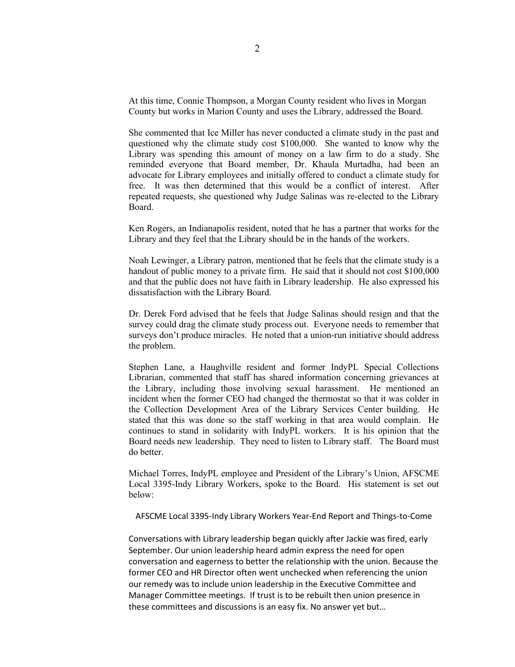At this time, Connie Thompson, a Morgan County resident who lives in Morgan County but works in Marion County and uses the Library, addressed the Board.

She commented that Ice Miller has never conducted a climate study in the past and questioned why the climate study cost \$100,000. She wanted to know why the Library was spending this amount of money on a law firm to do a study. She reminded everyone that Board member, Dr. Khaula Murtadha, had been an advocate for Library employees and initially offered to conduct a climate study for free. It was then determined that this would be a conflict of interest. After repeated requests, she questioned why Judge Salinas was re-elected to the Library Board.

Ken Rogers, an Indianapolis resident, noted that he has a partner that works for the Library and they feel that the Library should be in the hands of the workers.

Noah Lewinger, a Library patron, mentioned that he feels that the climate study is a handout of public money to a private firm. He said that it should not cost \$100,000 and that the public does not have faith in Library leadership. He also expressed his dissatisfaction with the Library Board.

Dr. Derek Ford advised that he feels that Judge Salinas should resign and that the survey could drag the climate study process out. Everyone needs to remember that surveys don't produce miracles. He noted that a union-run initiative should address the problem.

Stephen Lane, a Haughville resident and former IndyPL Special Collections Librarian, commented that staff has shared information concerning grievances at the Library, including those involving sexual harassment. He mentioned an incident when the former CEO had changed the thermostat so that it was colder in the Collection Development Area of the Library Services Center building. He stated that this was done so the staff working in that area would complain. He continues to stand in solidarity with IndyPL workers. It is his opinion that the Board needs new leadership. They need to listen to Library staff. The Board must do better.

Michael Torres, IndyPL employee and President of the Library's Union, AFSCME Local 3395-Indy Library Workers, spoke to the Board. His statement is set out below:

AFSCME Local 3395-Indy Library Workers Year-End Report and Things-to-Come

Conversations with Library leadership began quickly after Jackie was fired, early September. Our union leadership heard admin express the need for open conversation and eagerness to better the relationship with the union. Because the former CEO and HR Director often went unchecked when referencing the union our remedy was to include union leadership in the Executive Committee and Manager Committee meetings. If trust is to be rebuilt then union presence in these committees and discussions is an easy fix. No answer yet but…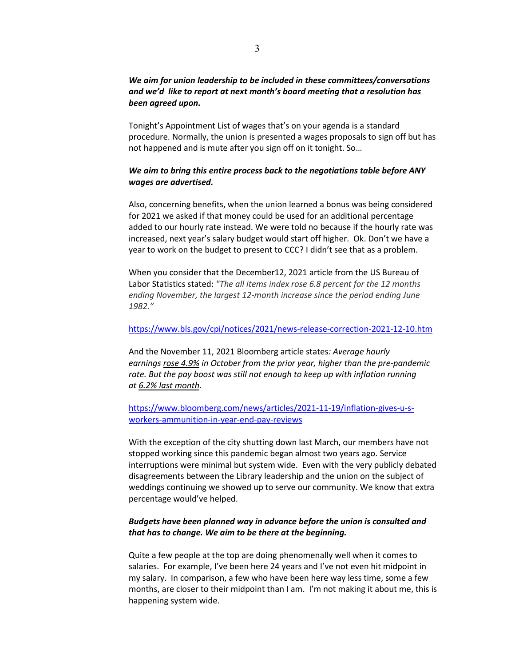# *We aim for union leadership to be included in these committees/conversations and we'd like to report at next month's board meeting that a resolution has been agreed upon.*

Tonight's Appointment List of wages that's on your agenda is a standard procedure. Normally, the union is presented a wages proposals to sign off but has not happened and is mute after you sign off on it tonight. So…

# *We aim to bring this entire process back to the negotiations table before ANY wages are advertised.*

Also, concerning benefits, when the union learned a bonus was being considered for 2021 we asked if that money could be used for an additional percentage added to our hourly rate instead. We were told no because if the hourly rate was increased, next year's salary budget would start off higher. Ok. Don't we have a year to work on the budget to present to CCC? I didn't see that as a problem.

When you consider that the December12, 2021 article from the US Bureau of Labor Statistics stated: *"The all items index rose 6.8 percent for the 12 months ending November, the largest 12-month increase since the period ending June 1982."*

### <https://www.bls.gov/cpi/notices/2021/news-release-correction-2021-12-10.htm>

And the November 11, 2021 Bloomberg article states*: Average hourly earnings rose [4.9%](https://www.bloomberg.com/news/articles/2021-11-05/u-s-job-growth-gets-back-on-track-in-october-with-531-000-gain) in October from the prior year, higher than the pre-pandemic*  rate. But the pay boost was still not enough to keep up with inflation running *at 6.2% last [month.](https://www.bloomberg.com/news/articles/2021-11-10/inflation-builds-with-biggest-gain-in-consumer-prices-since-1990)*

# [https://www.bloomberg.com/news/articles/2021-11-19/inflation-gives-u-s](https://www.bloomberg.com/news/articles/2021-11-19/inflation-gives-u-s-workers-ammunition-in-year-end-pay-reviews)[workers-ammunition-in-year-end-pay-reviews](https://www.bloomberg.com/news/articles/2021-11-19/inflation-gives-u-s-workers-ammunition-in-year-end-pay-reviews)

With the exception of the city shutting down last March, our members have not stopped working since this pandemic began almost two years ago. Service interruptions were minimal but system wide. Even with the very publicly debated disagreements between the Library leadership and the union on the subject of weddings continuing we showed up to serve our community. We know that extra percentage would've helped.

# *Budgets have been planned way in advance before the union is consulted and that has to change. We aim to be there at the beginning.*

Quite a few people at the top are doing phenomenally well when it comes to salaries. For example, I've been here 24 years and I've not even hit midpoint in my salary. In comparison, a few who have been here way less time, some a few months, are closer to their midpoint than I am. I'm not making it about me, this is happening system wide.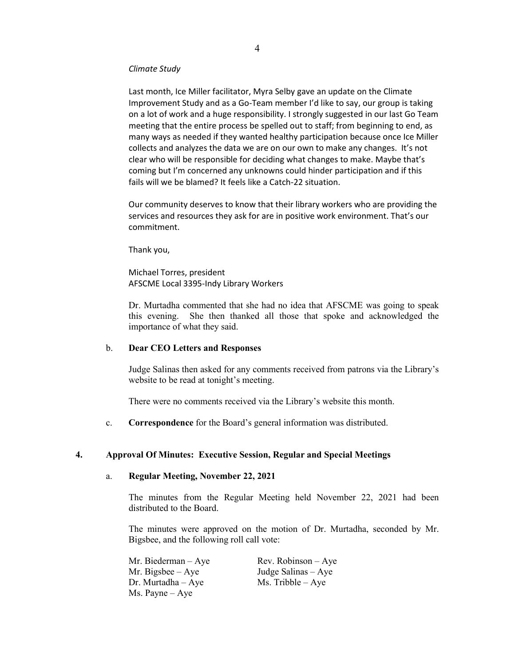#### *Climate Study*

Last month, Ice Miller facilitator, Myra Selby gave an update on the Climate Improvement Study and as a Go-Team member I'd like to say, our group is taking on a lot of work and a huge responsibility. I strongly suggested in our last Go Team meeting that the entire process be spelled out to staff; from beginning to end, as many ways as needed if they wanted healthy participation because once Ice Miller collects and analyzes the data we are on our own to make any changes. It's not clear who will be responsible for deciding what changes to make. Maybe that's coming but I'm concerned any unknowns could hinder participation and if this fails will we be blamed? It feels like a Catch-22 situation.

Our community deserves to know that their library workers who are providing the services and resources they ask for are in positive work environment. That's our commitment.

Thank you,

Michael Torres, president AFSCME Local 3395-Indy Library Workers

Dr. Murtadha commented that she had no idea that AFSCME was going to speak this evening. She then thanked all those that spoke and acknowledged the importance of what they said.

#### b. **Dear CEO Letters and Responses**

Judge Salinas then asked for any comments received from patrons via the Library's website to be read at tonight's meeting.

There were no comments received via the Library's website this month.

c. **Correspondence** for the Board's general information was distributed.

# **4. Approval Of Minutes: Executive Session, Regular and Special Meetings**

#### a. **Regular Meeting, November 22, 2021**

The minutes from the Regular Meeting held November 22, 2021 had been distributed to the Board.

The minutes were approved on the motion of Dr. Murtadha, seconded by Mr. Bigsbee, and the following roll call vote:

Mr. Biederman – Aye Rev. Robinson – Aye Mr. Bigsbee – Aye Judge Salinas – Aye Dr. Murtadha – Aye  $Ms$ . Tribble – Aye Ms. Payne – Aye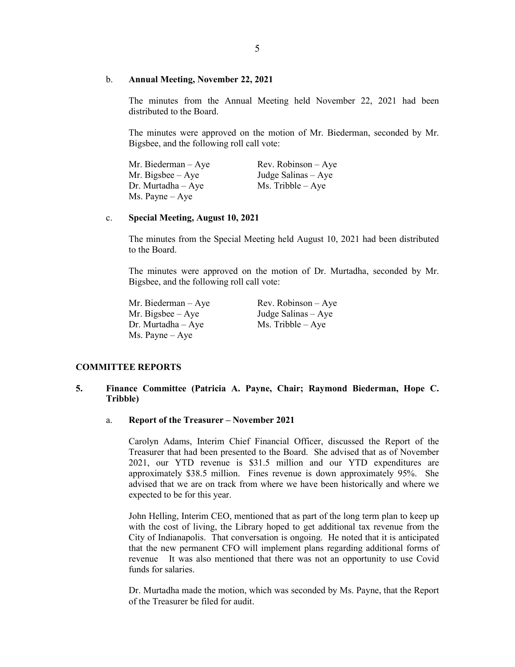#### b. **Annual Meeting, November 22, 2021**

The minutes from the Annual Meeting held November 22, 2021 had been distributed to the Board.

The minutes were approved on the motion of Mr. Biederman, seconded by Mr. Bigsbee, and the following roll call vote:

Mr. Biederman – Aye Rev. Robinson – Aye Mr. Bigsbee – Aye Judge Salinas – Aye<br>Dr. Murtadha – Aye Ms. Tribble – Aye Dr. Murtadha –  $Aye$ Ms. Payne – Aye

#### c. **Special Meeting, August 10, 2021**

The minutes from the Special Meeting held August 10, 2021 had been distributed to the Board.

The minutes were approved on the motion of Dr. Murtadha, seconded by Mr. Bigsbee, and the following roll call vote:

Mr. Biederman – Aye Rev. Robinson – Aye Mr. Bigsbee –  $Aye$  Judge Salinas –  $Aye$ Dr. Murtadha – Aye Ms. Tribble – Aye Ms. Payne – Aye

### **COMMITTEE REPORTS**

# **5. Finance Committee (Patricia A. Payne, Chair; Raymond Biederman, Hope C. Tribble)**

#### a. **Report of the Treasurer – November 2021**

Carolyn Adams, Interim Chief Financial Officer, discussed the Report of the Treasurer that had been presented to the Board. She advised that as of November 2021, our YTD revenue is \$31.5 million and our YTD expenditures are approximately \$38.5 million. Fines revenue is down approximately 95%. She advised that we are on track from where we have been historically and where we expected to be for this year.

John Helling, Interim CEO, mentioned that as part of the long term plan to keep up with the cost of living, the Library hoped to get additional tax revenue from the City of Indianapolis. That conversation is ongoing. He noted that it is anticipated that the new permanent CFO will implement plans regarding additional forms of revenue It was also mentioned that there was not an opportunity to use Covid funds for salaries.

Dr. Murtadha made the motion, which was seconded by Ms. Payne, that the Report of the Treasurer be filed for audit.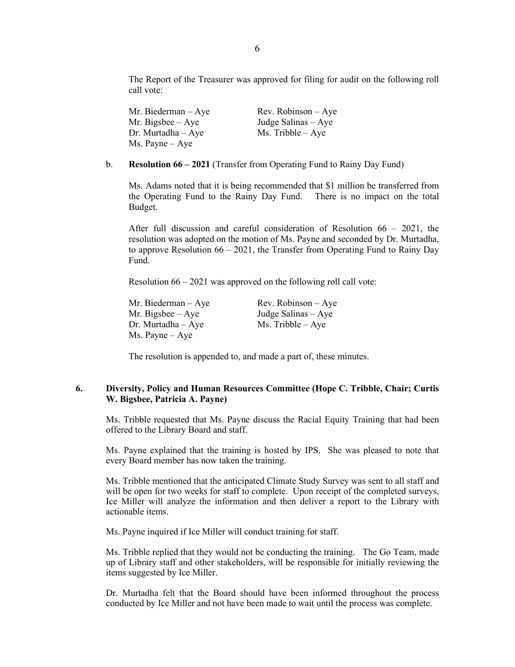The Report of the Treasurer was approved for filing for audit on the following roll call vote:

Mr. Biederman – Aye Rev. Robinson – Aye Mr. Bigsbee – Aye Judge Salinas – Aye Dr. Murtadha – Aye  $Ms$ . Tribble – Aye Ms. Payne – Aye

#### b. **Resolution 66 – 2021** (Transfer from Operating Fund to Rainy Day Fund)

Ms. Adams noted that it is being recommended that \$1 million be transferred from the Operating Fund to the Rainy Day Fund. There is no impact on the total Budget.

After full discussion and careful consideration of Resolution 66 – 2021, the resolution was adopted on the motion of Ms. Payne and seconded by Dr. Murtadha, to approve Resolution  $66 - 2021$ , the Transfer from Operating Fund to Rainy Day Fund.

Resolution 66 – 2021 was approved on the following roll call vote:

Mr. Bigsbee – Aye Judge Salinas – Aye Dr. Murtadha – Aye Ms. Tribble – Aye Ms. Payne – Aye

Mr. Biederman – Aye Rev. Robinson – Aye

The resolution is appended to, and made a part of, these minutes.

# **6. Diversity, Policy and Human Resources Committee (Hope C. Tribble, Chair; Curtis W. Bigsbee, Patricia A. Payne)**

Ms. Tribble requested that Ms. Payne discuss the Racial Equity Training that had been offered to the Library Board and staff.

Ms. Payne explained that the training is hosted by IPS. She was pleased to note that every Board member has now taken the training.

Ms. Tribble mentioned that the anticipated Climate Study Survey was sent to all staff and will be open for two weeks for staff to complete. Upon receipt of the completed surveys, Ice Miller will analyze the information and then deliver a report to the Library with actionable items.

Ms. Payne inquired if Ice Miller will conduct training for staff.

Ms. Tribble replied that they would not be conducting the training. The Go Team, made up of Library staff and other stakeholders, will be responsible for initially reviewing the items suggested by Ice Miller.

Dr. Murtadha felt that the Board should have been informed throughout the process conducted by Ice Miller and not have been made to wait until the process was complete.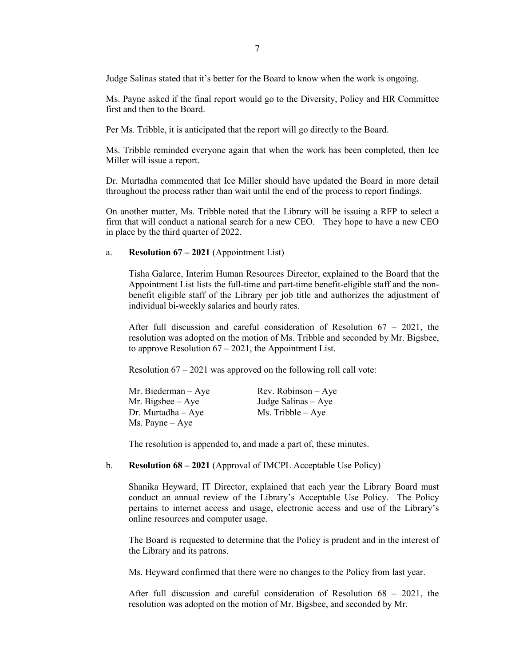Judge Salinas stated that it's better for the Board to know when the work is ongoing.

Ms. Payne asked if the final report would go to the Diversity, Policy and HR Committee first and then to the Board.

Per Ms. Tribble, it is anticipated that the report will go directly to the Board.

Ms. Tribble reminded everyone again that when the work has been completed, then Ice Miller will issue a report.

Dr. Murtadha commented that Ice Miller should have updated the Board in more detail throughout the process rather than wait until the end of the process to report findings.

On another matter, Ms. Tribble noted that the Library will be issuing a RFP to select a firm that will conduct a national search for a new CEO. They hope to have a new CEO in place by the third quarter of 2022.

### a. **Resolution 67 – 2021** (Appointment List)

Tisha Galarce, Interim Human Resources Director, explained to the Board that the Appointment List lists the full-time and part-time benefit-eligible staff and the nonbenefit eligible staff of the Library per job title and authorizes the adjustment of individual bi-weekly salaries and hourly rates.

After full discussion and careful consideration of Resolution 67 – 2021, the resolution was adopted on the motion of Ms. Tribble and seconded by Mr. Bigsbee, to approve Resolution  $67 - 2021$ , the Appointment List.

Resolution 67 – 2021 was approved on the following roll call vote:

| Mr. Biederman - Aye      | $Rev. Robinson - Aye$ |
|--------------------------|-----------------------|
| Mr. Bigsbee $-$ Aye      | Judge Salinas - Aye   |
| $Dr.$ Murtadha $-Aye$    | $Ms.$ Tribble $-Aye$  |
| $Ms. \text{Payne} - Aye$ |                       |

The resolution is appended to, and made a part of, these minutes.

#### b. **Resolution 68 – 2021** (Approval of IMCPL Acceptable Use Policy)

Shanika Heyward, IT Director, explained that each year the Library Board must conduct an annual review of the Library's Acceptable Use Policy. The Policy pertains to internet access and usage, electronic access and use of the Library's online resources and computer usage.

The Board is requested to determine that the Policy is prudent and in the interest of the Library and its patrons.

Ms. Heyward confirmed that there were no changes to the Policy from last year.

After full discussion and careful consideration of Resolution 68 – 2021, the resolution was adopted on the motion of Mr. Bigsbee, and seconded by Mr.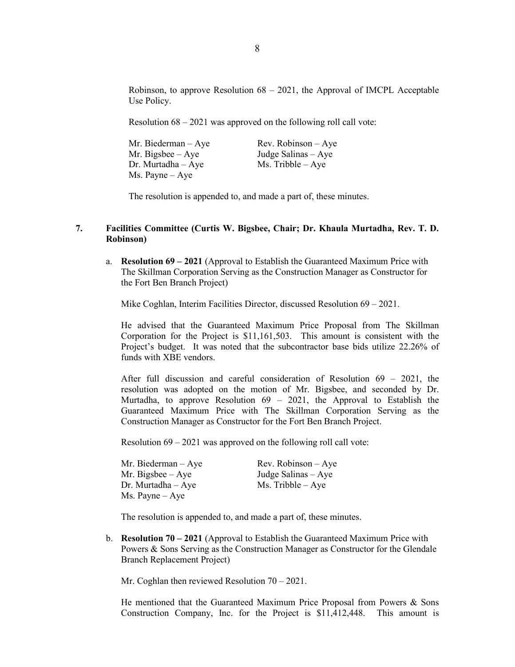Robinson, to approve Resolution  $68 - 2021$ , the Approval of IMCPL Acceptable Use Policy.

Resolution 68 – 2021 was approved on the following roll call vote:

| Mr. Biederman $-$ Aye | $Rev. Robinson - Aye$ |
|-----------------------|-----------------------|
| Mr. Bigsbee $-$ Aye   | Judge Salinas $-$ Aye |
| $Dr.$ Murtadha $-Aye$ | $Ms.$ Tribble $-$ Aye |
| Ms. Payne – Aye       |                       |

The resolution is appended to, and made a part of, these minutes.

### **7. Facilities Committee (Curtis W. Bigsbee, Chair; Dr. Khaula Murtadha, Rev. T. D. Robinson)**

a. **Resolution 69 – 2021** (Approval to Establish the Guaranteed Maximum Price with The Skillman Corporation Serving as the Construction Manager as Constructor for the Fort Ben Branch Project)

Mike Coghlan, Interim Facilities Director, discussed Resolution 69 – 2021.

He advised that the Guaranteed Maximum Price Proposal from The Skillman Corporation for the Project is \$11,161,503. This amount is consistent with the Project's budget. It was noted that the subcontractor base bids utilize 22.26% of funds with XBE vendors.

After full discussion and careful consideration of Resolution 69 – 2021, the resolution was adopted on the motion of Mr. Bigsbee, and seconded by Dr. Murtadha, to approve Resolution  $69 - 2021$ , the Approval to Establish the Guaranteed Maximum Price with The Skillman Corporation Serving as the Construction Manager as Constructor for the Fort Ben Branch Project.

Resolution 69 – 2021 was approved on the following roll call vote:

| Mr. Biederman – Aye |  |
|---------------------|--|
| Mr. Bigsbee – Aye   |  |
| Dr. Murtadha – Aye  |  |
| Ms. Payne – Aye     |  |

Rev. Robinson – Aye Judge Salinas – Aye Ms. Tribble – Aye

The resolution is appended to, and made a part of, these minutes.

b. **Resolution 70 – 2021** (Approval to Establish the Guaranteed Maximum Price with Powers & Sons Serving as the Construction Manager as Constructor for the Glendale Branch Replacement Project)

Mr. Coghlan then reviewed Resolution 70 – 2021.

He mentioned that the Guaranteed Maximum Price Proposal from Powers & Sons Construction Company, Inc. for the Project is \$11,412,448. This amount is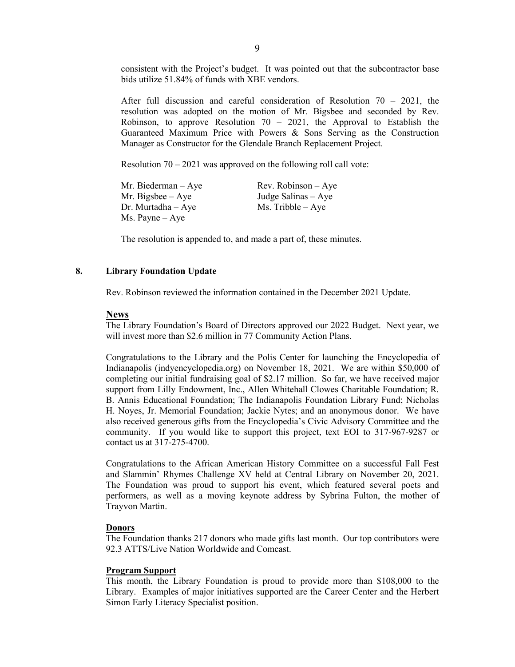consistent with the Project's budget. It was pointed out that the subcontractor base bids utilize 51.84% of funds with XBE vendors.

After full discussion and careful consideration of Resolution  $70 - 2021$ , the resolution was adopted on the motion of Mr. Bigsbee and seconded by Rev. Robinson, to approve Resolution  $70 - 2021$ , the Approval to Establish the Guaranteed Maximum Price with Powers & Sons Serving as the Construction Manager as Constructor for the Glendale Branch Replacement Project.

Resolution  $70 - 2021$  was approved on the following roll call vote:

| Mr. Biederman $-$ Aye    | $Rev. Robinson - Aye$ |
|--------------------------|-----------------------|
| Mr. Bigsbee $-$ Aye      | Judge Salinas $-$ Aye |
| $Dr.$ Murtadha $-$ Aye   | $Ms.$ Tribble $-Aye$  |
| $Ms. \text{Payne} - Aye$ |                       |

The resolution is appended to, and made a part of, these minutes.

# **8. Library Foundation Update**

Rev. Robinson reviewed the information contained in the December 2021 Update.

### **News**

The Library Foundation's Board of Directors approved our 2022 Budget. Next year, we will invest more than \$2.6 million in 77 Community Action Plans.

Congratulations to the Library and the Polis Center for launching the Encyclopedia of Indianapolis (indyencyclopedia.org) on November 18, 2021. We are within \$50,000 of completing our initial fundraising goal of \$2.17 million. So far, we have received major support from Lilly Endowment, Inc., Allen Whitehall Clowes Charitable Foundation; R. B. Annis Educational Foundation; The Indianapolis Foundation Library Fund; Nicholas H. Noyes, Jr. Memorial Foundation; Jackie Nytes; and an anonymous donor. We have also received generous gifts from the Encyclopedia's Civic Advisory Committee and the community. If you would like to support this project, text EOI to 317-967-9287 or contact us at 317-275-4700.

Congratulations to the African American History Committee on a successful Fall Fest and Slammin' Rhymes Challenge XV held at Central Library on November 20, 2021. The Foundation was proud to support his event, which featured several poets and performers, as well as a moving keynote address by Sybrina Fulton, the mother of Trayvon Martin.

### **Donors**

The Foundation thanks 217 donors who made gifts last month. Our top contributors were 92.3 ATTS/Live Nation Worldwide and Comcast.

#### **Program Support**

This month, the Library Foundation is proud to provide more than \$108,000 to the Library. Examples of major initiatives supported are the Career Center and the Herbert Simon Early Literacy Specialist position.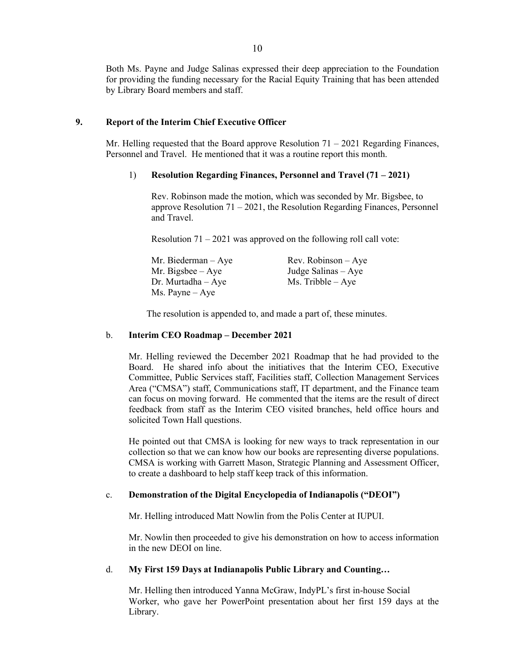Both Ms. Payne and Judge Salinas expressed their deep appreciation to the Foundation for providing the funding necessary for the Racial Equity Training that has been attended by Library Board members and staff.

## **9. Report of the Interim Chief Executive Officer**

Mr. Helling requested that the Board approve Resolution 71 – 2021 Regarding Finances, Personnel and Travel. He mentioned that it was a routine report this month.

#### 1) **Resolution Regarding Finances, Personnel and Travel (71 – 2021)**

Rev. Robinson made the motion, which was seconded by Mr. Bigsbee, to approve Resolution 71 – 2021, the Resolution Regarding Finances, Personnel and Travel.

Resolution  $71 - 2021$  was approved on the following roll call vote:

| $Rev. Robinson - Aye$ |
|-----------------------|
| Judge Salinas $-$ Aye |
| $Ms.$ Tribble $-Aye$  |
|                       |
|                       |

The resolution is appended to, and made a part of, these minutes.

#### b. **Interim CEO Roadmap – December 2021**

Mr. Helling reviewed the December 2021 Roadmap that he had provided to the Board. He shared info about the initiatives that the Interim CEO, Executive Committee, Public Services staff, Facilities staff, Collection Management Services Area ("CMSA") staff, Communications staff, IT department, and the Finance team can focus on moving forward. He commented that the items are the result of direct feedback from staff as the Interim CEO visited branches, held office hours and solicited Town Hall questions.

He pointed out that CMSA is looking for new ways to track representation in our collection so that we can know how our books are representing diverse populations. CMSA is working with Garrett Mason, Strategic Planning and Assessment Officer, to create a dashboard to help staff keep track of this information.

#### c. **Demonstration of the Digital Encyclopedia of Indianapolis ("DEOI")**

Mr. Helling introduced Matt Nowlin from the Polis Center at IUPUI.

Mr. Nowlin then proceeded to give his demonstration on how to access information in the new DEOI on line.

#### d. **My First 159 Days at Indianapolis Public Library and Counting…**

Mr. Helling then introduced Yanna McGraw, IndyPL's first in-house Social Worker, who gave her PowerPoint presentation about her first 159 days at the Library.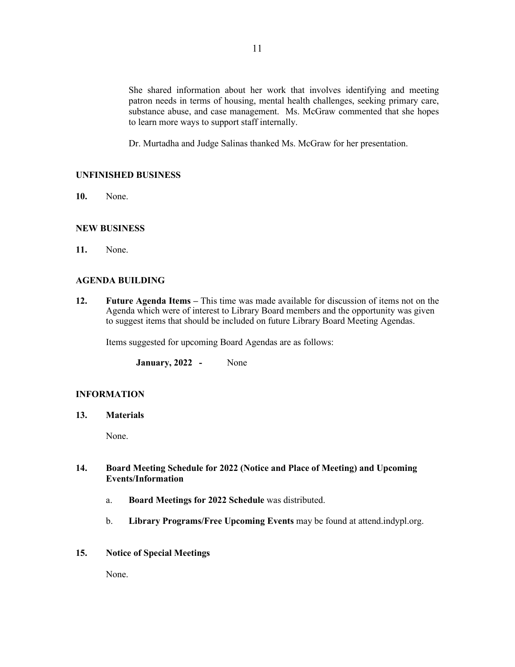She shared information about her work that involves identifying and meeting patron needs in terms of housing, mental health challenges, seeking primary care, substance abuse, and case management. Ms. McGraw commented that she hopes to learn more ways to support staff internally.

Dr. Murtadha and Judge Salinas thanked Ms. McGraw for her presentation.

# **UNFINISHED BUSINESS**

**10.** None.

# **NEW BUSINESS**

**11.** None.

### **AGENDA BUILDING**

**12. Future Agenda Items –** This time was made available for discussion of items not on the Agenda which were of interest to Library Board members and the opportunity was given to suggest items that should be included on future Library Board Meeting Agendas.

Items suggested for upcoming Board Agendas are as follows:

**January, 2022 -** None

### **INFORMATION**

**13. Materials** 

None.

# **14. Board Meeting Schedule for 2022 (Notice and Place of Meeting) and Upcoming Events/Information**

- a. **Board Meetings for 2022 Schedule** was distributed.
- b. **Library Programs/Free Upcoming Events** may be found at attend.indypl.org.
- **15. Notice of Special Meetings**

None.